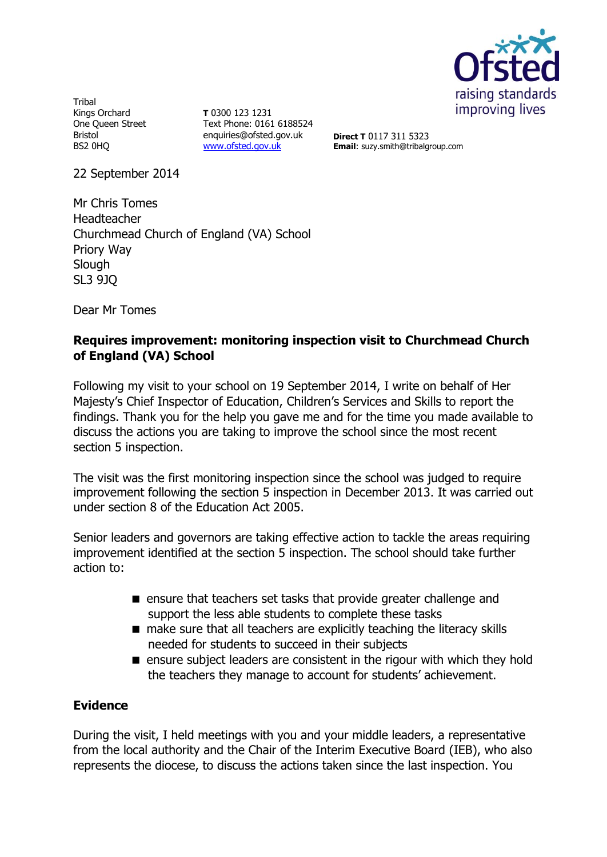

**Tribal** Kings Orchard One Queen Street Bristol BS2 0HQ

**T** 0300 123 1231 Text Phone: 0161 6188524 enquiries@ofsted.gov.uk [www.ofsted.gov.uk](http://www.ofsted.gov.uk/)

**Direct T** 0117 311 5323 **Email**: suzy.smith@tribalgroup.com

22 September 2014

Mr Chris Tomes Headteacher Churchmead Church of England (VA) School Priory Way **Slough** SL3 9JQ

Dear Mr Tomes

## **Requires improvement: monitoring inspection visit to Churchmead Church of England (VA) School**

Following my visit to your school on 19 September 2014, I write on behalf of Her Majesty's Chief Inspector of Education, Children's Services and Skills to report the findings. Thank you for the help you gave me and for the time you made available to discuss the actions you are taking to improve the school since the most recent section 5 inspection.

The visit was the first monitoring inspection since the school was judged to require improvement following the section 5 inspection in December 2013. It was carried out under section 8 of the Education Act 2005.

Senior leaders and governors are taking effective action to tackle the areas requiring improvement identified at the section 5 inspection. The school should take further action to:

- ensure that teachers set tasks that provide greater challenge and support the less able students to complete these tasks
- make sure that all teachers are explicitly teaching the literacy skills needed for students to succeed in their subjects
- $\blacksquare$  ensure subject leaders are consistent in the rigour with which they hold the teachers they manage to account for students' achievement.

### **Evidence**

During the visit, I held meetings with you and your middle leaders, a representative from the local authority and the Chair of the Interim Executive Board (IEB), who also represents the diocese, to discuss the actions taken since the last inspection. You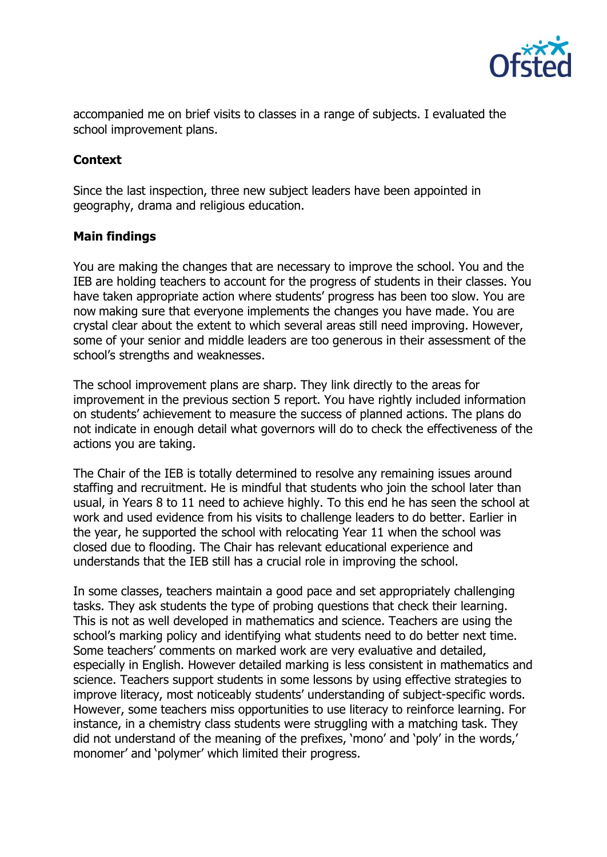

accompanied me on brief visits to classes in a range of subjects. I evaluated the school improvement plans.

# **Context**

Since the last inspection, three new subject leaders have been appointed in geography, drama and religious education.

### **Main findings**

You are making the changes that are necessary to improve the school. You and the IEB are holding teachers to account for the progress of students in their classes. You have taken appropriate action where students' progress has been too slow. You are now making sure that everyone implements the changes you have made. You are crystal clear about the extent to which several areas still need improving. However, some of your senior and middle leaders are too generous in their assessment of the school's strengths and weaknesses.

The school improvement plans are sharp. They link directly to the areas for improvement in the previous section 5 report. You have rightly included information on students' achievement to measure the success of planned actions. The plans do not indicate in enough detail what governors will do to check the effectiveness of the actions you are taking.

The Chair of the IEB is totally determined to resolve any remaining issues around staffing and recruitment. He is mindful that students who join the school later than usual, in Years 8 to 11 need to achieve highly. To this end he has seen the school at work and used evidence from his visits to challenge leaders to do better. Earlier in the year, he supported the school with relocating Year 11 when the school was closed due to flooding. The Chair has relevant educational experience and understands that the IEB still has a crucial role in improving the school.

In some classes, teachers maintain a good pace and set appropriately challenging tasks. They ask students the type of probing questions that check their learning. This is not as well developed in mathematics and science. Teachers are using the school's marking policy and identifying what students need to do better next time. Some teachers' comments on marked work are very evaluative and detailed, especially in English. However detailed marking is less consistent in mathematics and science. Teachers support students in some lessons by using effective strategies to improve literacy, most noticeably students' understanding of subject-specific words. However, some teachers miss opportunities to use literacy to reinforce learning. For instance, in a chemistry class students were struggling with a matching task. They did not understand of the meaning of the prefixes, 'mono' and 'poly' in the words,' monomer' and 'polymer' which limited their progress.